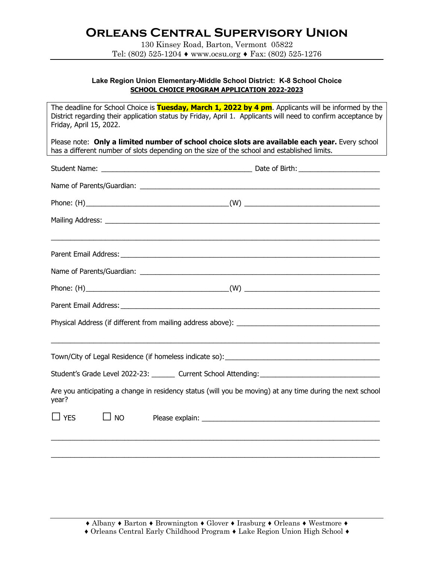# **Orleans Central Supervisory Union**

130 Kinsey Road, Barton, Vermont 05822 Tel: (802) 525-1204 ♦ www.ocsu.org ♦ Fax: (802) 525-1276

### **Lake Region Union Elementary-Middle School District: K-8 School Choice SCHOOL CHOICE PROGRAM APPLICATION 2022-2023**

| The deadline for School Choice is Tuesday, March 1, 2022 by 4 pm. Applicants will be informed by the<br>District regarding their application status by Friday, April 1. Applicants will need to confirm acceptance by<br>Friday, April 15, 2022. |                                                                                                                                                                                                |  |  |  |  |
|--------------------------------------------------------------------------------------------------------------------------------------------------------------------------------------------------------------------------------------------------|------------------------------------------------------------------------------------------------------------------------------------------------------------------------------------------------|--|--|--|--|
|                                                                                                                                                                                                                                                  | Please note: Only a limited number of school choice slots are available each year. Every school<br>has a different number of slots depending on the size of the school and established limits. |  |  |  |  |
|                                                                                                                                                                                                                                                  |                                                                                                                                                                                                |  |  |  |  |
|                                                                                                                                                                                                                                                  |                                                                                                                                                                                                |  |  |  |  |
|                                                                                                                                                                                                                                                  |                                                                                                                                                                                                |  |  |  |  |
|                                                                                                                                                                                                                                                  |                                                                                                                                                                                                |  |  |  |  |
|                                                                                                                                                                                                                                                  |                                                                                                                                                                                                |  |  |  |  |
|                                                                                                                                                                                                                                                  |                                                                                                                                                                                                |  |  |  |  |
|                                                                                                                                                                                                                                                  |                                                                                                                                                                                                |  |  |  |  |
|                                                                                                                                                                                                                                                  |                                                                                                                                                                                                |  |  |  |  |
|                                                                                                                                                                                                                                                  |                                                                                                                                                                                                |  |  |  |  |
|                                                                                                                                                                                                                                                  |                                                                                                                                                                                                |  |  |  |  |
|                                                                                                                                                                                                                                                  |                                                                                                                                                                                                |  |  |  |  |
|                                                                                                                                                                                                                                                  |                                                                                                                                                                                                |  |  |  |  |
| Student's Grade Level 2022-23: _______ Current School Attending: ___________________________________                                                                                                                                             |                                                                                                                                                                                                |  |  |  |  |
| Are you anticipating a change in residency status (will you be moving) at any time during the next school<br>year?                                                                                                                               |                                                                                                                                                                                                |  |  |  |  |
| $\Box$ YES<br>$\Box$ NO                                                                                                                                                                                                                          |                                                                                                                                                                                                |  |  |  |  |
|                                                                                                                                                                                                                                                  |                                                                                                                                                                                                |  |  |  |  |
|                                                                                                                                                                                                                                                  |                                                                                                                                                                                                |  |  |  |  |

<sup>♦</sup> Orleans Central Early Childhood Program ♦ Lake Region Union High School ♦